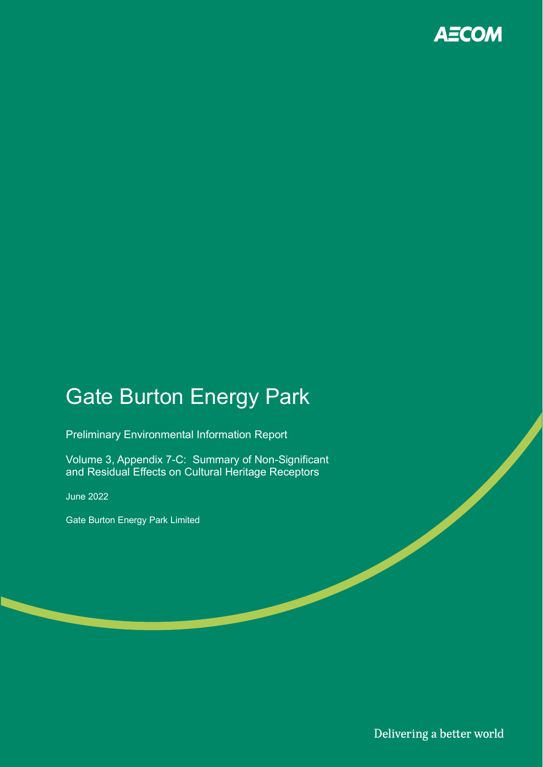

# Gate Burton Energy Park

Preliminary Environmental Information Report

Volume 3, Appendix 7-C: Summary of Non-Significant and Residual Effects on Cultural Heritage Receptors

June 2022

Gate Burton Energy Park Limited

Delivering a better world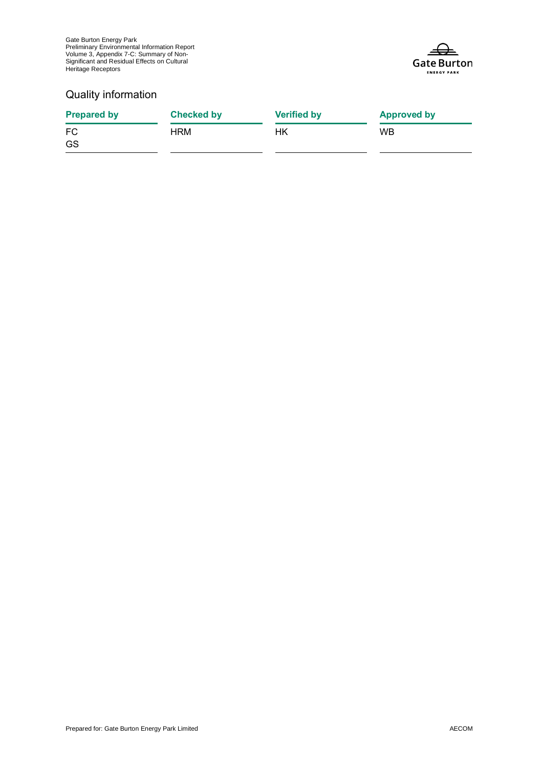Gate Burton Energy Park Preliminary Environmental Information Report Volume 3, Appendix 7-C: Summary of Non-Significant and Residual Effects on Cultural Heritage Receptors



#### Quality information

| Checked by | <b>Verified by</b> | <b>Approved by</b> |
|------------|--------------------|--------------------|
| HRM        | НK                 | <b>WB</b>          |
|            |                    |                    |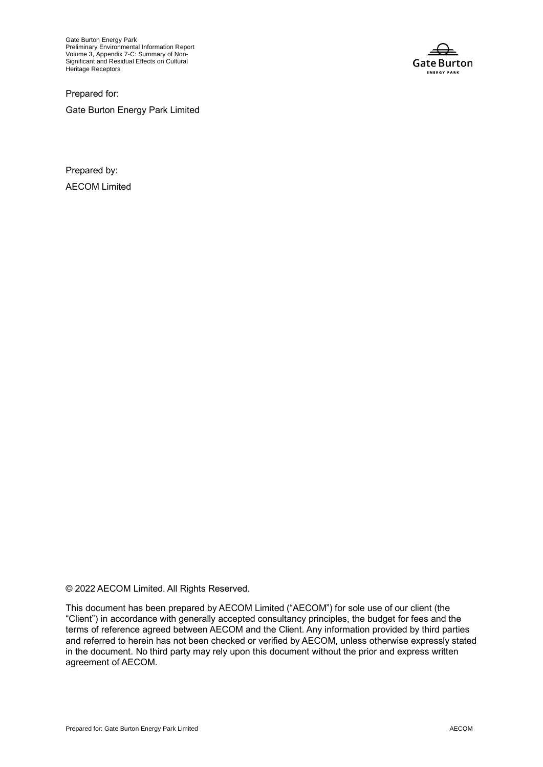Gate Burton Energy Park Preliminary Environmental Information Report Volume 3, Appendix 7-C: Summary of Non-Significant and Residual Effects on Cultural Heritage Receptors

**Gate Burton ENERGY PARK** 

Prepared for:

Gate Burton Energy Park Limited

Prepared by: AECOM Limited

© 2022 AECOM Limited. All Rights Reserved.

This document has been prepared by AECOM Limited ("AECOM") for sole use of our client (the "Client") in accordance with generally accepted consultancy principles, the budget for fees and the terms of reference agreed between AECOM and the Client. Any information provided by third parties and referred to herein has not been checked or verified by AECOM, unless otherwise expressly stated in the document. No third party may rely upon this document without the prior and express written agreement of AECOM.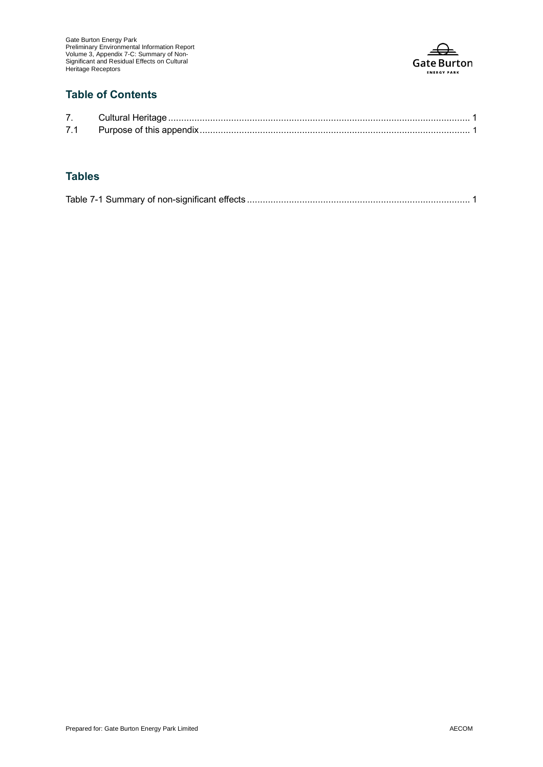

### **Table of Contents**

| 71 |  |
|----|--|

#### **Tables**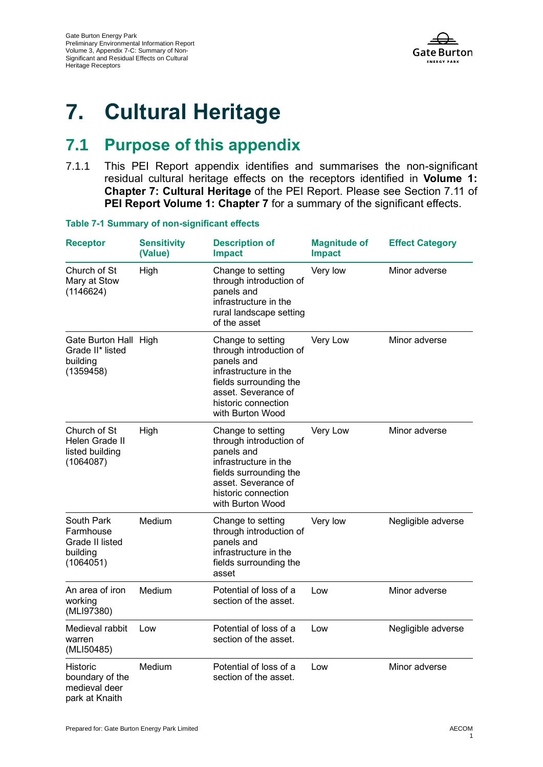

## **7. Cultural Heritage**

### **7.1 Purpose of this appendix**

7.1.1 This PEI Report appendix identifies and summarises the non-significant residual cultural heritage effects on the receptors identified in **Volume 1: Chapter 7: Cultural Heritage** of the PEI Report. Please see Section 7.11 of **PEI Report Volume 1: Chapter 7** for a summary of the significant effects.

| <b>Receptor</b>                                                     | <b>Sensitivity</b><br>(Value) | <b>Description of</b><br><b>Impact</b>                                                                                                                                          | <b>Magnitude of</b><br><b>Impact</b> | <b>Effect Category</b> |
|---------------------------------------------------------------------|-------------------------------|---------------------------------------------------------------------------------------------------------------------------------------------------------------------------------|--------------------------------------|------------------------|
| Church of St<br>Mary at Stow<br>(1146624)                           | High                          | Change to setting<br>through introduction of<br>panels and<br>infrastructure in the<br>rural landscape setting<br>of the asset                                                  | Very low                             | Minor adverse          |
| Gate Burton Hall High<br>Grade II* listed<br>building<br>(1359458)  |                               | Change to setting<br>through introduction of<br>panels and<br>infrastructure in the<br>fields surrounding the<br>asset. Severance of<br>historic connection<br>with Burton Wood | Very Low                             | Minor adverse          |
| Church of St<br>Helen Grade II<br>listed building<br>(1064087)      | High                          | Change to setting<br>through introduction of<br>panels and<br>infrastructure in the<br>fields surrounding the<br>asset. Severance of<br>historic connection<br>with Burton Wood | Very Low                             | Minor adverse          |
| South Park<br>Farmhouse<br>Grade II listed<br>building<br>(1064051) | Medium                        | Change to setting<br>through introduction of<br>panels and<br>infrastructure in the<br>fields surrounding the<br>asset                                                          | Very low                             | Negligible adverse     |
| An area of iron<br>working<br>(MLI97380)                            | Medium                        | Potential of loss of a<br>section of the asset.                                                                                                                                 | Low                                  | Minor adverse          |
| Medieval rabbit<br>warren<br>(MLI50485)                             | Low                           | Potential of loss of a<br>section of the asset.                                                                                                                                 | Low                                  | Negligible adverse     |
| Historic<br>boundary of the<br>medieval deer<br>park at Knaith      | Medium                        | Potential of loss of a<br>section of the asset.                                                                                                                                 | Low                                  | Minor adverse          |

**Table 7-1 Summary of non-significant effects**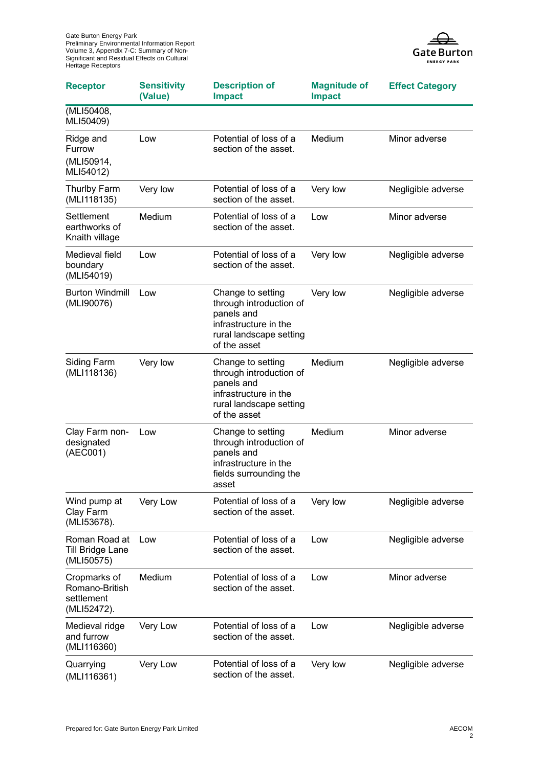Gate Burton Energy Park Preliminary Environmental Information Report Volume 3, Appendix 7-C: Summary of Non-Significant and Residual Effects on Cultural Heritage Receptors



| <b>Receptor</b>                                             | <b>Sensitivity</b><br>(Value) | <b>Description of</b><br><b>Impact</b>                                                                                         | <b>Magnitude of</b><br><b>Impact</b> | <b>Effect Category</b> |
|-------------------------------------------------------------|-------------------------------|--------------------------------------------------------------------------------------------------------------------------------|--------------------------------------|------------------------|
| (MLI50408,<br>MLI50409)                                     |                               |                                                                                                                                |                                      |                        |
| Ridge and<br>Furrow<br>(MLI50914,<br>MLI54012)              | Low                           | Potential of loss of a<br>section of the asset.                                                                                | Medium                               | Minor adverse          |
| Thurlby Farm<br>(MLI118135)                                 | Very low                      | Potential of loss of a<br>section of the asset.                                                                                | Very low                             | Negligible adverse     |
| Settlement<br>earthworks of<br>Knaith village               | Medium                        | Potential of loss of a<br>section of the asset.                                                                                | Low                                  | Minor adverse          |
| Medieval field<br>boundary<br>(MLI54019)                    | Low                           | Potential of loss of a<br>section of the asset.                                                                                | Very low                             | Negligible adverse     |
| <b>Burton Windmill</b><br>(MLI90076)                        | Low                           | Change to setting<br>through introduction of<br>panels and<br>infrastructure in the<br>rural landscape setting<br>of the asset | Very low                             | Negligible adverse     |
| <b>Siding Farm</b><br>(MLI118136)                           | Very low                      | Change to setting<br>through introduction of<br>panels and<br>infrastructure in the<br>rural landscape setting<br>of the asset | Medium                               | Negligible adverse     |
| Clay Farm non-<br>designated<br>(AEC001)                    | Low                           | Change to setting<br>through introduction of<br>panels and<br>infrastructure in the<br>fields surrounding the<br>asset         | Medium                               | Minor adverse          |
| Wind pump at<br>Clay Farm<br>(MLI53678).                    | Very Low                      | Potential of loss of a<br>section of the asset.                                                                                | Very low                             | Negligible adverse     |
| Roman Road at<br>Till Bridge Lane<br>(MLI50575)             | Low                           | Potential of loss of a<br>section of the asset.                                                                                | Low                                  | Negligible adverse     |
| Cropmarks of<br>Romano-British<br>settlement<br>(MLI52472). | Medium                        | Potential of loss of a<br>section of the asset.                                                                                | Low                                  | Minor adverse          |
| Medieval ridge<br>and furrow<br>(MLI116360)                 | Very Low                      | Potential of loss of a<br>section of the asset.                                                                                | Low                                  | Negligible adverse     |
| Quarrying<br>(MLI116361)                                    | Very Low                      | Potential of loss of a<br>section of the asset.                                                                                | Very low                             | Negligible adverse     |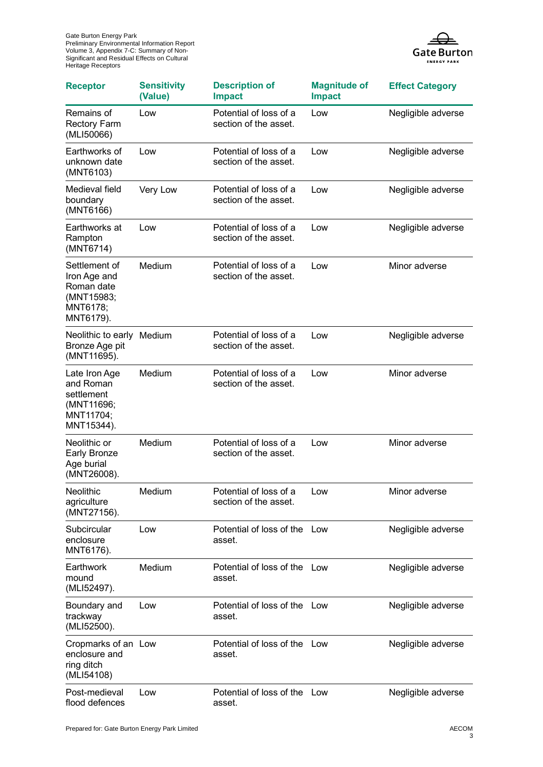

| <b>Receptor</b>                                                                    | <b>Sensitivity</b><br>(Value) | <b>Description of</b><br><b>Impact</b>          | <b>Magnitude of</b><br><b>Impact</b> | <b>Effect Category</b> |
|------------------------------------------------------------------------------------|-------------------------------|-------------------------------------------------|--------------------------------------|------------------------|
| Remains of<br><b>Rectory Farm</b><br>(MLI50066)                                    | Low                           | Potential of loss of a<br>section of the asset. | Low                                  | Negligible adverse     |
| Earthworks of<br>unknown date<br>(MNT6103)                                         | Low                           | Potential of loss of a<br>section of the asset. | Low                                  | Negligible adverse     |
| Medieval field<br>boundary<br>(MNT6166)                                            | Very Low                      | Potential of loss of a<br>section of the asset. | Low                                  | Negligible adverse     |
| Earthworks at<br>Rampton<br>(MNT6714)                                              | Low                           | Potential of loss of a<br>section of the asset. | Low                                  | Negligible adverse     |
| Settlement of<br>Iron Age and<br>Roman date<br>(MNT15983;<br>MNT6178;<br>MNT6179). | Medium                        | Potential of loss of a<br>section of the asset. | Low                                  | Minor adverse          |
| Neolithic to early<br>Bronze Age pit<br>(MNT11695).                                | Medium                        | Potential of loss of a<br>section of the asset. | Low                                  | Negligible adverse     |
| Late Iron Age<br>and Roman<br>settlement<br>(MNT11696;<br>MNT11704;<br>MNT15344).  | Medium                        | Potential of loss of a<br>section of the asset. | Low                                  | Minor adverse          |
| Neolithic or<br><b>Early Bronze</b><br>Age burial<br>(MNT26008).                   | Medium                        | Potential of loss of a<br>section of the asset. | Low                                  | Minor adverse          |
| Neolithic<br>agriculture<br>(MNT27156).                                            | Medium                        | Potential of loss of a<br>section of the asset. | Low                                  | Minor adverse          |
| Subcircular<br>enclosure<br>MNT6176).                                              | Low                           | Potential of loss of the Low<br>asset.          |                                      | Negligible adverse     |
| Earthwork<br>mound<br>(MLI52497).                                                  | Medium                        | Potential of loss of the Low<br>asset.          |                                      | Negligible adverse     |
| Boundary and<br>trackway<br>(MLI52500).                                            | Low                           | Potential of loss of the Low<br>asset.          |                                      | Negligible adverse     |
| Cropmarks of an Low<br>enclosure and<br>ring ditch<br>(MLI54108)                   |                               | Potential of loss of the<br>asset.              | Low                                  | Negligible adverse     |
| Post-medieval<br>flood defences                                                    | Low                           | Potential of loss of the Low<br>asset.          |                                      | Negligible adverse     |